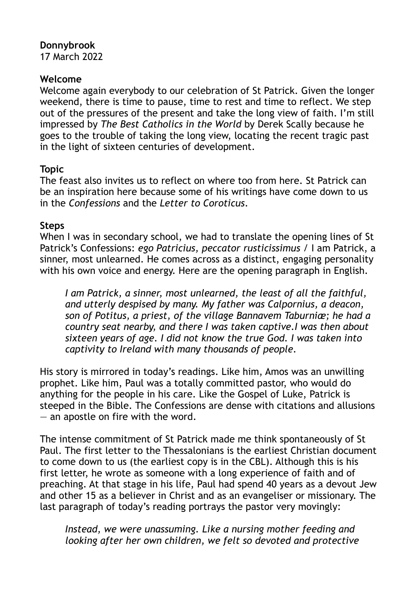# **Donnybrook**

17 March 2022

### **Welcome**

Welcome again everybody to our celebration of St Patrick. Given the longer weekend, there is time to pause, time to rest and time to reflect. We step out of the pressures of the present and take the long view of faith. I'm still impressed by *The Best Catholics in the World* by Derek Scally because he goes to the trouble of taking the long view, locating the recent tragic past in the light of sixteen centuries of development.

### **Topic**

The feast also invites us to reflect on where too from here. St Patrick can be an inspiration here because some of his writings have come down to us in the *Confessions* and the *Letter to Coroticus*.

## **Steps**

When I was in secondary school, we had to translate the opening lines of St Patrick's Confessions: *ego Patricius, peccator rusticissimus* / I am Patrick, a sinner, most unlearned. He comes across as a distinct, engaging personality with his own voice and energy. Here are the opening paragraph in English.

*I am Patrick, a sinner, most unlearned, the least of all the faithful, and utterly despised by many. My father was Calpornius, a deacon, son of Potitus, a priest, of the village Bannavem Taburniæ; he had a country seat nearby, and there I was taken captive.I was then about sixteen years of age. I did not know the true God. I was taken into captivity to Ireland with many thousands of people.*

His story is mirrored in today's readings. Like him, Amos was an unwilling prophet. Like him, Paul was a totally committed pastor, who would do anything for the people in his care. Like the Gospel of Luke, Patrick is steeped in the Bible. The Confessions are dense with citations and allusions — an apostle on fire with the word.

The intense commitment of St Patrick made me think spontaneously of St Paul. The first letter to the Thessalonians is the earliest Christian document to come down to us (the earliest copy is in the CBL). Although this is his first letter, he wrote as someone with a long experience of faith and of preaching. At that stage in his life, Paul had spend 40 years as a devout Jew and other 15 as a believer in Christ and as an evangeliser or missionary. The last paragraph of today's reading portrays the pastor very movingly:

*Instead, we were unassuming. Like a nursing mother feeding and looking after her own children, we felt so devoted and protective*